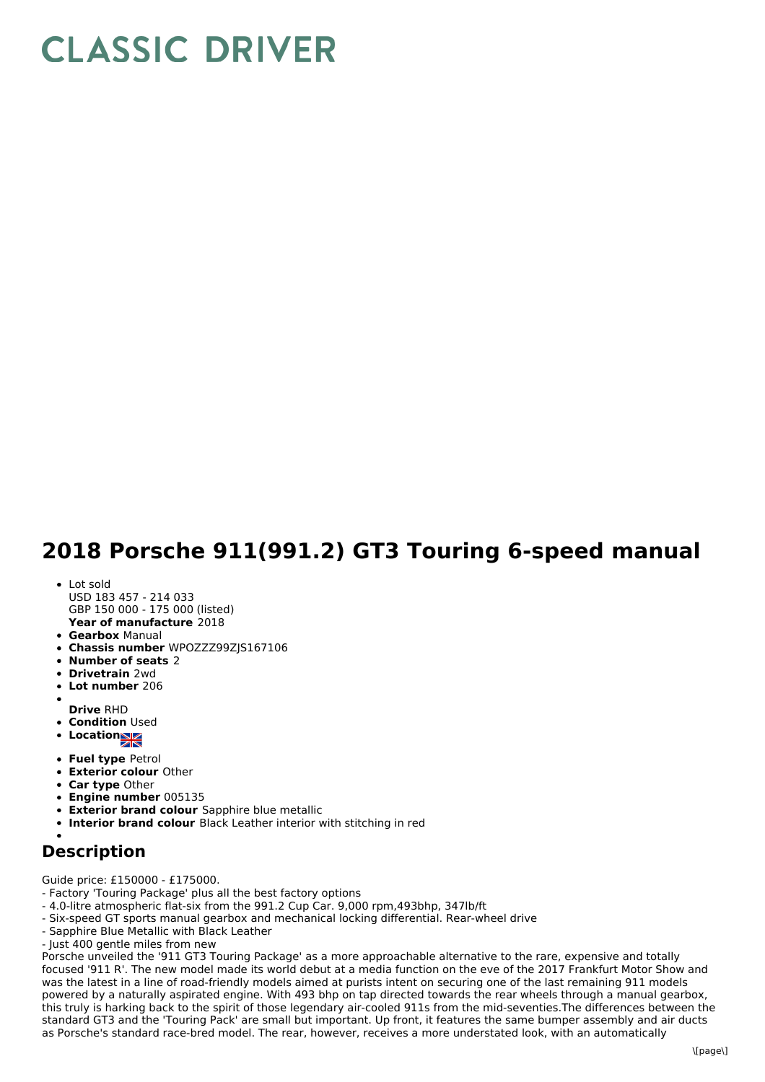## **CLASSIC DRIVER**

## **2018 Porsche 911(991.2) GT3 Touring 6-speed manual**

- Lot sold
- **Year of manufacture** 2018 USD 183 457 - 214 033 GBP 150 000 - 175 000 (listed)
- **Gearbox** Manual
- **Chassis number** WPOZZZ99ZJS167106
- **Number of seats** 2
- **Drivetrain** 2wd
- **Lot number** 206
- **Drive** RHD
- **Condition Used**
- **•** Location
- 
- **Fuel type** Petrol
- **Exterior colour** Other
- **Car type** Other
- **Engine number** 005135
- **Exterior brand colour** Sapphire blue metallic
- **Interior brand colour** Black Leather interior with stitching in red

## **Description**

Guide price: £150000 - £175000.

- Factory 'Touring Package' plus all the best factory options
- 4.0-litre atmospheric flat-six from the 991.2 Cup Car. 9,000 rpm,493bhp, 347lb/ft
- Six-speed GT sports manual gearbox and mechanical locking differential. Rear-wheel drive
- Sapphire Blue Metallic with Black Leather

- Just 400 gentle miles from new

Porsche unveiled the '911 GT3 Touring Package' as a more approachable alternative to the rare, expensive and totally focused '911 R'. The new model made its world debut at a media function on the eve of the 2017 Frankfurt Motor Show and was the latest in a line of road-friendly models aimed at purists intent on securing one of the last remaining 911 models powered by a naturally aspirated engine. With 493 bhp on tap directed towards the rear wheels through a manual gearbox, this truly is harking back to the spirit of those legendary air-cooled 911s from the mid-seventies.The differences between the standard GT3 and the 'Touring Pack' are small but important. Up front, it features the same bumper assembly and air ducts as Porsche's standard race-bred model. The rear, however, receives a more understated look, with an automatically